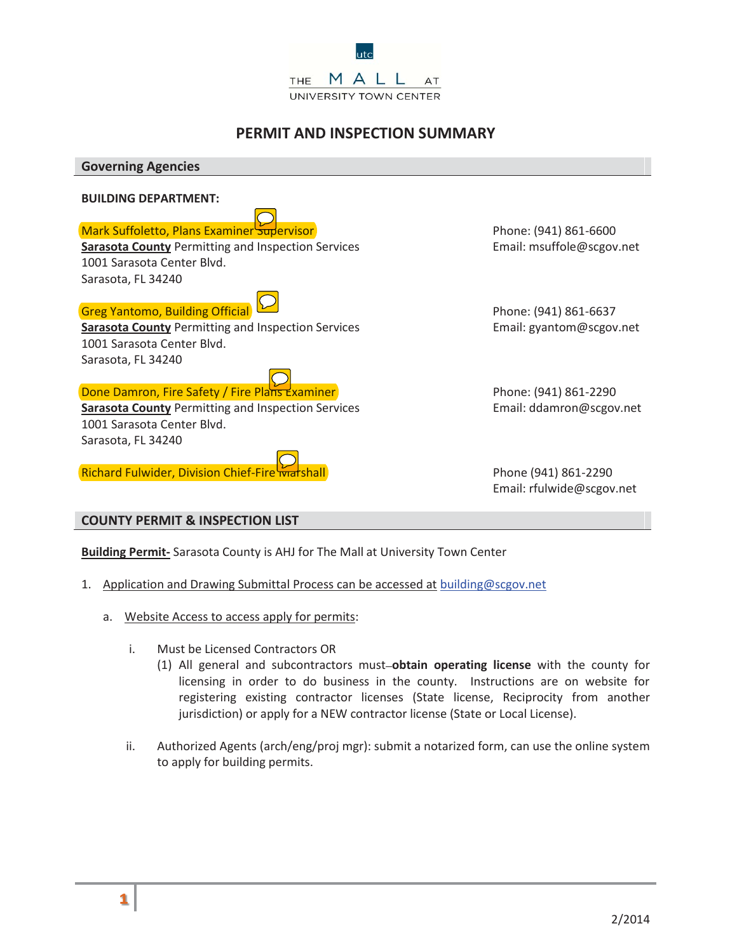

# **PERMIT AND INSPECTION SUMMARY**

**Governing Agencies BUILDING DEPARTMENT:** Mark Suffoletto, Plans Examiner Supervisor Phone: (941) 861-6600 **Sarasota County** Permitting and Inspection Services **Email: msuffole**@scgov.net 1001 Sarasota Center Blvd. Sarasota, FL 34240 Greg Yantomo, Building Official **Phone: (941)** 861-6637 **Sarasota County** Permitting and Inspection Services **Email: gyantom@scgov.net** 1001 Sarasota Center Blvd. Sarasota, FL 34240 **Done Damron, Fire Safety / Fire Plans Examiner Phone: (941) 861-2290 Sarasota County** Permitting and Inspection Services **Email: ddamron@scgov.net** 1001 Sarasota Center Blvd. Sarasota, FL 34240 Richard Fulwider, Division Chief-Fire Marshall Phone (941) 861-2290 Email: rfulwide@scgov.net

## **COUNTY PERMIT & INSPECTION LIST**

**Building Permit-** Sarasota County is AHJ for The Mall at University Town Center

- 1. Application and Drawing Submittal Process can be accessed at building@scgov.net
	- a. Website Access to access apply for permits:
		- i. Must be Licensed Contractors OR
			- (1) All general and subcontractors must **obtain operating license** with the county for licensing in order to do business in the county. Instructions are on website for registering existing contractor licenses (State license, Reciprocity from another jurisdiction) or apply for a NEW contractor license (State or Local License).
		- ii. Authorized Agents (arch/eng/proj mgr): submit a notarized form, can use the online system to apply for building permits.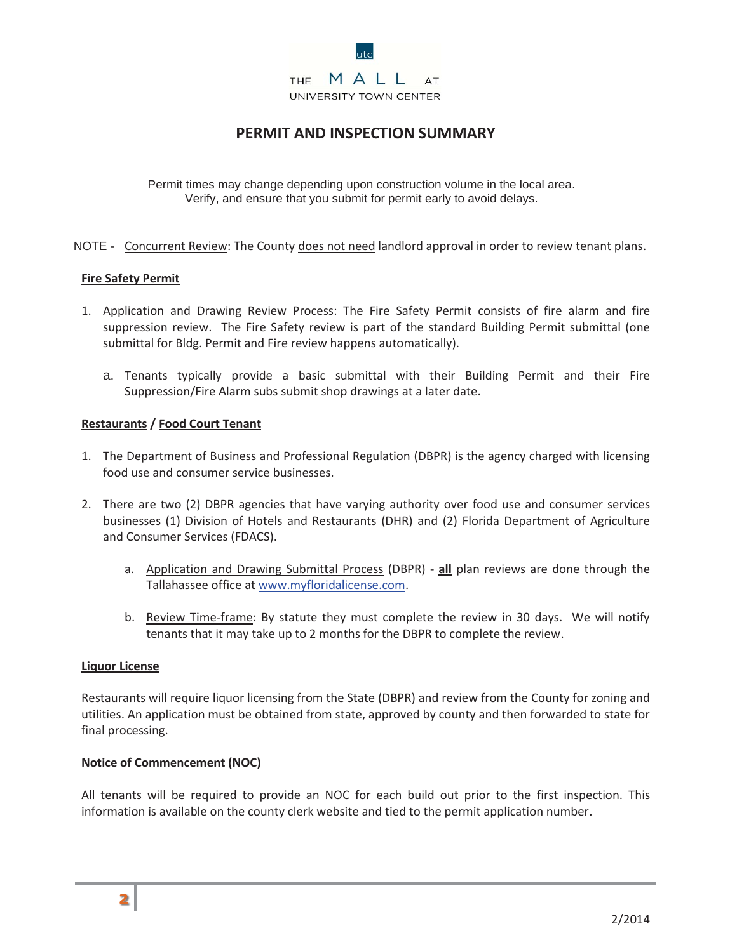

# **PERMIT AND INSPECTION SUMMARY**

Verify, and ensure that you submit for permit early to avoid delays. Permit times may change depending upon construction volume in the local area.

NOTE - Concurrent Review: The County does not need landlord approval in order to review tenant plans.

## **Fire Safety Permit**

- 1. Application and Drawing Review Process: The Fire Safety Permit consists of fire alarm and fire suppression review. The Fire Safety review is part of the standard Building Permit submittal (one submittal for Bldg. Permit and Fire review happens automatically).
	- a. Tenants typically provide a basic submittal with their Building Permit and their Fire Suppression/Fire Alarm subs submit shop drawings at a later date.

## **Restaurants / Food Court Tenant**

- 1. The Department of Business and Professional Regulation (DBPR) is the agency charged with licensing food use and consumer service businesses.
- 2. There are two (2) DBPR agencies that have varying authority over food use and consumer services businesses (1) Division of Hotels and Restaurants (DHR) and (2) Florida Department of Agriculture and Consumer Services (FDACS).
	- a. Application and Drawing Submittal Process (DBPR) **all** plan reviews are done through the Tallahassee office at www.myfloridalicense.com.
	- b. Review Time-frame: By statute they must complete the review in 30 days. We will notify tenants that it may take up to 2 months for the DBPR to complete the review.

#### **Liquor License**

Restaurants will require liquor licensing from the State (DBPR) and review from the County for zoning and utilities. An application must be obtained from state, approved by county and then forwarded to state for final processing.

#### **Notice of Commencement (NOC)**

All tenants will be required to provide an NOC for each build out prior to the first inspection. This information is available on the county clerk website and tied to the permit application number.